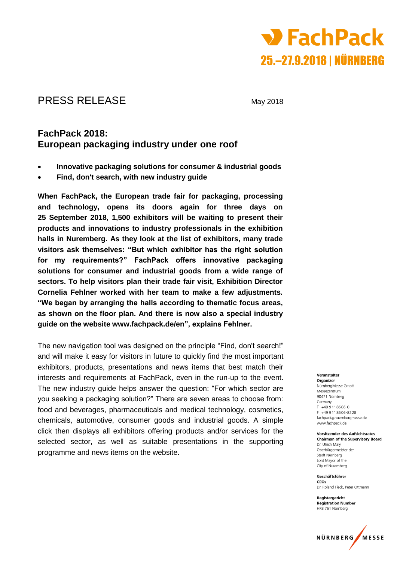

# PRESS RELEASE May 2018

## **FachPack 2018: European packaging industry under one roof**

- **Innovative packaging solutions for consumer & industrial goods**
- **Find, don't search, with new industry guide**

**When FachPack, the European trade fair for packaging, processing and technology, opens its doors again for three days on 25 September 2018, 1,500 exhibitors will be waiting to present their products and innovations to industry professionals in the exhibition halls in Nuremberg. As they look at the list of exhibitors, many trade visitors ask themselves: "But which exhibitor has the right solution for my requirements?" FachPack offers innovative packaging solutions for consumer and industrial goods from a wide range of sectors. To help visitors plan their trade fair visit, Exhibition Director Cornelia Fehlner worked with her team to make a few adjustments. "We began by arranging the halls according to thematic focus areas, as shown on the floor plan. And there is now also a special industry guide on the website www.fachpack.de/en", explains Fehlner.** 

The new navigation tool was designed on the principle "Find, don't search!" and will make it easy for visitors in future to quickly find the most important exhibitors, products, presentations and news items that best match their interests and requirements at FachPack, even in the run-up to the event. The new industry guide helps answer the question: "For which sector are you seeking a packaging solution?" There are seven areas to choose from: food and beverages, pharmaceuticals and medical technology, cosmetics, chemicals, automotive, consumer goods and industrial goods. A simple click then displays all exhibitors offering products and/or services for the selected sector, as well as suitable presentations in the supporting programme and news items on the website.

#### Veranstalter Organizer NürnbergMesse GmbH Messezentrum 90471 Nürnberg Germany  $T = 499118606 - 0$ F +49 9 11 8 6 0 6 - 8 2 2 8 fachpack@nuernbergmesse.de www.fachpack.de

Vorsitzender des Aufsichtsrates **Chairman of the Supervisory Board** Dr. Ulrich Malv Oberbürgermeister der Stadt Nürnberg Lord Mayor of the City of Nurembera

Geschäftsführer CEOS Dr. Roland Fleck. Peter Ottmann

Registergericht **Registration Number** HRB 761 Nürnberg

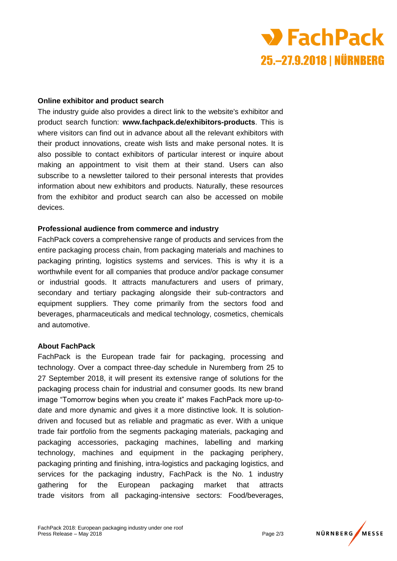

#### **Online exhibitor and product search**

The industry guide also provides a direct link to the website's exhibitor and product search function: **www.fachpack.de/exhibitors-products**. This is where visitors can find out in advance about all the relevant exhibitors with their product innovations, create wish lists and make personal notes. It is also possible to contact exhibitors of particular interest or inquire about making an appointment to visit them at their stand. Users can also subscribe to a newsletter tailored to their personal interests that provides information about new exhibitors and products. Naturally, these resources from the exhibitor and product search can also be accessed on mobile devices.

#### **Professional audience from commerce and industry**

FachPack covers a comprehensive range of products and services from the entire packaging process chain, from packaging materials and machines to packaging printing, logistics systems and services. This is why it is a worthwhile event for all companies that produce and/or package consumer or industrial goods. It attracts manufacturers and users of primary, secondary and tertiary packaging alongside their sub-contractors and equipment suppliers. They come primarily from the sectors food and beverages, pharmaceuticals and medical technology, cosmetics, chemicals and automotive.

#### **About FachPack**

FachPack is the European trade fair for packaging, processing and technology. Over a compact three-day schedule in Nuremberg from 25 to 27 September 2018, it will present its extensive range of solutions for the packaging process chain for industrial and consumer goods. Its new brand image "Tomorrow begins when you create it" makes FachPack more up-todate and more dynamic and gives it a more distinctive look. It is solutiondriven and focused but as reliable and pragmatic as ever. With a unique trade fair portfolio from the segments packaging materials, packaging and packaging accessories, packaging machines, labelling and marking technology, machines and equipment in the packaging periphery, packaging printing and finishing, intra-logistics and packaging logistics, and services for the packaging industry, FachPack is the No. 1 industry gathering for the European packaging market that attracts trade visitors from all packaging-intensive sectors: Food/beverages,